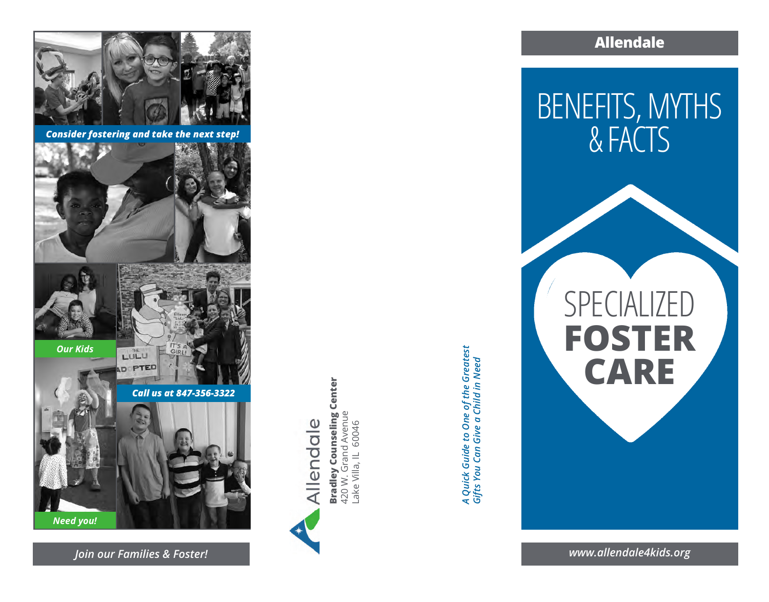

*Consider fostering and take the next step!*





*Our Kids*

*Need you!*



*Call us at 847-356-3322*





Bradley Counseling Center<br>420 W. Grand Avenue<br>Lake Villa, IL 60046 **Bradley Counseling Center** 420 W. Grand Avenue Lake Villa, IL 60046

*A Quick Guide to One of the Greatest*  A Quick Guide to One of the Greatest<br>Gifts You Can Give a Child in Need *Gifts You Can Give a Child in Need* **Allendale**

BENEFITS, MYTHS & FACTS

SPECIALIZED **FOSTER CARE**

*Join our Families & Foster! www.allendale4kids.org*